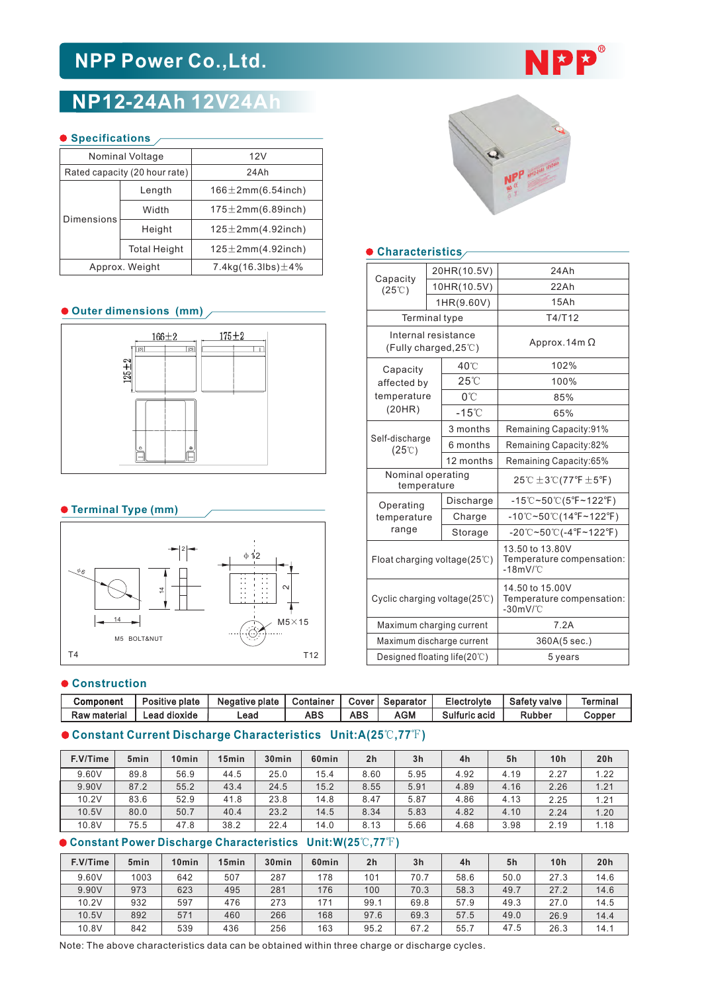# **NPP Power Co.,Ltd.**

## **NP12-24Ah 12V24Ah**

#### **Specifications**

|                   | Nominal Voltage               | 12V                          |  |  |  |  |
|-------------------|-------------------------------|------------------------------|--|--|--|--|
|                   | Rated capacity (20 hour rate) | 24Ah                         |  |  |  |  |
| <b>Dimensions</b> | Length                        | $166 \pm 2$ mm $(6.54$ inch) |  |  |  |  |
|                   | Width                         | $175 \pm 2$ mm $(6.89$ inch) |  |  |  |  |
|                   | Height                        | $125 \pm 2$ mm $(4.92$ inch) |  |  |  |  |
|                   | <b>Total Height</b>           | $125 \pm 2$ mm $(4.92$ inch) |  |  |  |  |
|                   | Approx. Weight                | 7.4kg(16.3lbs) $\pm$ 4%      |  |  |  |  |

### **Outer dimensions (mm)**



#### **Terminal Type (mm)**



#### $\bullet$  Construction

| Component    | Positive plate | Negative plate | Container  | Cover | Separator  | Electrolyte   | Safety valve | Termina. |
|--------------|----------------|----------------|------------|-------|------------|---------------|--------------|----------|
| Raw material | Lead dioxide   | ∟ead           | <b>ABS</b> | ABS   | <b>AGM</b> | Sulfuric acid | Rubber       | Copper   |

#### **Constant Current Discharge Characteristics Unit:A(25**℃**,77**℉**)**

| F.V/Time | 5 <sub>min</sub> | 10 <sub>min</sub> | 15 <sub>min</sub> | 30 <sub>min</sub> | 60 <sub>min</sub> | 2 <sub>h</sub> | 3 <sub>h</sub> | 4h   | 5h   | 10 <sub>h</sub> | 20h  |
|----------|------------------|-------------------|-------------------|-------------------|-------------------|----------------|----------------|------|------|-----------------|------|
| 9.60V    | 89.8             | 56.9              | 44.5              | 25.0              | 15.4              | 8.60           | 5.95           | 4.92 | 4.19 | 2.27            | 1.22 |
| 9.90V    | 87.2             | 55.2              | 43.4              | 24.5              | 15.2              | 8.55           | 5.91           | 4.89 | 4.16 | 2.26            | 1.21 |
| 10.2V    | 83.6             | 52.9              | 41.8              | 23.8              | 14.8              | 8.47           | 5.87           | 4.86 | 4.13 | 2.25            | 1.21 |
| 10.5V    | 80.0             | 50.7              | 40.4              | 23.2              | 14.5              | 8.34           | 5.83           | 4.82 | 4.10 | 2.24            | 1.20 |
| 10.8V    | 75.5             | 47.8              | 38.2              | 22.4              | 14.0              | 8.13           | 5.66           | 4.68 | 3.98 | 2.19            | 1.18 |

#### **Constant Power Discharge Characteristics Unit:W(25**℃**,77**℉**)**

| F.V/Time | 5 <sub>min</sub> | 10 <sub>min</sub> | 15 <sub>min</sub> | 30 <sub>min</sub> | 60 <sub>min</sub> | 2 <sub>h</sub> | 3 <sub>h</sub> | 4h   | 5h   | 10 <sub>h</sub> | 20h  |
|----------|------------------|-------------------|-------------------|-------------------|-------------------|----------------|----------------|------|------|-----------------|------|
| 9.60V    | 1003             | 642               | 507               | 287               | 178               | 101            | 70.7           | 58.6 | 50.0 | 27.3            | 14.6 |
| 9.90V    | 973              | 623               | 495               | 281               | 176               | 100            | 70.3           | 58.3 | 49.7 | 27.2            | 14.6 |
| 10.2V    | 932              | 597               | 476               | 273               | 171               | 99.7           | 69.8           | 57.9 | 49.3 | 27.0            | 14.5 |
| 10.5V    | 892              | 571               | 460               | 266               | 168               | 97.6           | 69.3           | 57.5 | 49.0 | 26.9            | 14.4 |
| 10.8V    | 842              | 539               | 436               | 256               | 163               | 95.2           | 67.2           | 55.7 | 47.5 | 26.3            | 14.1 |





#### **Characteristics**

| Capacity<br>$(25^{\circ}\text{C})$                     |  | 20HR(10.5V)     | 24Ah                                                                                            |  |  |  |  |  |
|--------------------------------------------------------|--|-----------------|-------------------------------------------------------------------------------------------------|--|--|--|--|--|
|                                                        |  | 10HR(10.5V)     | 22Ah                                                                                            |  |  |  |  |  |
|                                                        |  | 1HR(9.60V)      | 15Ah                                                                                            |  |  |  |  |  |
| <b>Terminal type</b>                                   |  |                 | T4/T12                                                                                          |  |  |  |  |  |
| Internal resistance<br>(Fully charged, $25^{\circ}$ C) |  |                 | Approx. 14 $m \Omega$                                                                           |  |  |  |  |  |
| Capacity                                               |  | 40°C            | 102%                                                                                            |  |  |  |  |  |
| affected by                                            |  | $25^{\circ}$    | 100%                                                                                            |  |  |  |  |  |
| temperature                                            |  | 0°C             | 85%                                                                                             |  |  |  |  |  |
| (20HR)                                                 |  | $-15^{\circ}$ C | 65%                                                                                             |  |  |  |  |  |
|                                                        |  | 3 months        | Remaining Capacity:91%                                                                          |  |  |  |  |  |
| Self-discharge<br>$(25^{\circ}\text{C})$               |  | 6 months        | Remaining Capacity:82%                                                                          |  |  |  |  |  |
|                                                        |  | 12 months       | Remaining Capacity:65%                                                                          |  |  |  |  |  |
| Nominal operating<br>temperature                       |  |                 | 25℃ $\pm$ 3℃(77°F $\pm$ 5°F)                                                                    |  |  |  |  |  |
| Operating                                              |  | Discharge       | $-15^{\circ}\text{C}-50^{\circ}\text{C}(5^{\circ}\text{F}-122^{\circ}\text{F})$                 |  |  |  |  |  |
| temperature                                            |  | Charge          | $-10^{\circ}$ C~50 $^{\circ}$ C(14°F~122°F)                                                     |  |  |  |  |  |
| range                                                  |  | Storage         | $-20^{\circ}\text{C} \sim 50^{\circ}\text{C}$ (-4 $^{\circ}\text{F} \sim 122^{\circ}\text{F}$ ) |  |  |  |  |  |
| Float charging voltage( $25^{\circ}$ C)                |  |                 | 13.50 to 13.80V<br>Temperature compensation:<br>$-18$ m $V$ /°C                                 |  |  |  |  |  |
| Cyclic charging voltage(25°C)                          |  |                 | 14.50 to 15.00V<br>Temperature compensation:<br>$-30$ m $V$ /°C                                 |  |  |  |  |  |
| Maximum charging current                               |  |                 | 7.2A                                                                                            |  |  |  |  |  |
| Maximum discharge current                              |  |                 | 360A(5 sec.)                                                                                    |  |  |  |  |  |
| Designed floating life(20°C)                           |  |                 | 5 years                                                                                         |  |  |  |  |  |